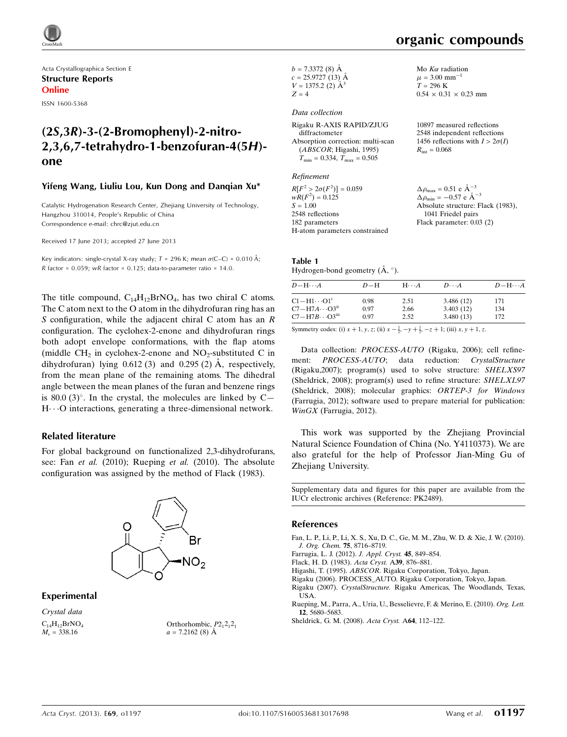

Acta Crystallographica Section E Structure Reports Online

ISSN 1600-5368

# (2S,3R)-3-(2-Bromophenyl)-2-nitro-2,3,6,7-tetrahydro-1-benzofuran-4(5H) one

#### Yifeng Wang, Liuliu Lou, Kun Dong and Danqian Xu\*

Catalytic Hydrogenation Research Center, Zhejiang University of Technology, Hangzhou 310014, People's Republic of China Correspondence e-mail: [chrc@zjut.edu.cn](https://scripts.iucr.org/cgi-bin/cr.cgi?rm=pdfbb&cnor=pk2489&bbid=BB8)

Received 17 June 2013; accepted 27 June 2013

Key indicators: single-crystal X-ray study;  $T = 296$  K; mean  $\sigma$ (C–C) = 0.010 Å; R factor =  $0.059$ ; wR factor =  $0.125$ ; data-to-parameter ratio = 14.0.

The title compound,  $C_{14}H_{12}BrNO_4$ , has two chiral C atoms. The C atom next to the O atom in the dihydrofuran ring has an S configuration, while the adjacent chiral C atom has an  $R$ configuration. The cyclohex-2-enone and dihydrofuran rings both adopt envelope conformations, with the flap atoms (middle  $CH<sub>2</sub>$  in cyclohex-2-enone and NO<sub>2</sub>-substituted C in dihydrofuran) lying  $0.612(3)$  and  $0.295(2)$  Å, respectively, from the mean plane of the remaining atoms. The dihedral angle between the mean planes of the furan and benzene rings is 80.0  $(3)$ °. In the crystal, the molecules are linked by C $H\cdots$ O interactions, generating a three-dimensional network.

#### Related literature

For global background on functionalized 2,3-dihydrofurans, see: Fan et al. (2010); Rueping et al. (2010). The absolute configuration was assigned by the method of Flack (1983).



#### Experimental

Crystal data  $C_{14}H_{12}BrNO_4$  $M_r = 338.16$ 

Orthorhombic,  $P2_12_12_1$  $a = 7.2162$  (8)  $\AA$ 

 $b = 7.3372(8)$  Å  $c = 25.9727(13)$  Å  $V = 1375.2$  (2)  $\AA^3$  $Z = 4$ 

#### Data collection

Rigaku R-AXIS RAPID/ZJUG diffractometer Absorption correction: multi-scan (ABSCOR; Higashi, 1995)  $T_{\text{min}} = 0.334, T_{\text{max}} = 0.505$ 

Refinement

 $R[F^2 > 2\sigma(F^2)] = 0.059$  $wR(F^2) = 0.125$  $S = 1.00$ 2548 reflections 182 parameters H-atom parameters constrained Mo  $K\alpha$  radiation  $\mu = 3.00$  mm<sup>-1</sup>  $T = 296$  K  $0.54 \times 0.31 \times 0.23$  mm

10897 measured reflections 2548 independent reflections 1456 reflections with  $I > 2\sigma(I)$  $R_{\text{int}} = 0.068$ 

 $\Delta \rho_{\text{max}} = 0.51 \text{ e } \text{\AA}_{\text{\tiny s}}^{-3}$  $\Delta \rho_{\text{min}} = -0.57 \text{ e A}^{-3}$ Absolute structure: Flack (1983), 1041 Friedel pairs Flack parameter: 0.03 (2)

#### Table 1 Hydrogen-bond geometry  $(\AA, \degree)$ .

| $D - H \cdots A$                    | $D-H$ | $H\cdots A$ | $D\cdots A$ | $D - H \cdots A$ |
|-------------------------------------|-------|-------------|-------------|------------------|
| $C1 - H1 \cdots O1$ <sup>i</sup>    | 0.98  | 2.51        | 3.486(12)   | 171              |
| $C7 - H7A \cdots O3$ <sup>ii</sup>  | 0.97  | 2.66        | 3.403(12)   | 134              |
| $C7 - H7B \cdots O3$ <sup>iii</sup> | 0.97  | 2.52        | 3.480(13)   | 172              |

Symmetry codes: (i)  $x + 1$ ,  $y$ ,  $z$ ; (ii)  $x - \frac{1}{2}$ ,  $y + \frac{1}{2}$ ,  $-z + 1$ ; (iii)  $x$ ,  $y + 1$ ,  $z$ .

Data collection: PROCESS-AUTO (Rigaku, 2006); cell refinement: PROCESS-AUTO; data reduction: CrystalStructure (Rigaku,2007); program(s) used to solve structure: SHELXS97 (Sheldrick, 2008); program(s) used to refine structure: SHELXL97 (Sheldrick, 2008); molecular graphics: ORTEP-3 for Windows (Farrugia, 2012); software used to prepare material for publication: WinGX (Farrugia, 2012).

This work was supported by the Zhejiang Provincial Natural Science Foundation of China (No. Y4110373). We are also grateful for the help of Professor Jian-Ming Gu of Zhejiang University.

Supplementary data and figures for this paper are available from the IUCr electronic archives (Reference: PK2489).

#### References

- [Fan, L. P., Li, P., Li, X. S., Xu, D. C., Ge, M. M., Zhu, W. D. & Xie, J. W. \(2010\).](https://scripts.iucr.org/cgi-bin/cr.cgi?rm=pdfbb&cnor=pk2489&bbid=BB1) [J. Org. Chem.](https://scripts.iucr.org/cgi-bin/cr.cgi?rm=pdfbb&cnor=pk2489&bbid=BB1) 75, 8716–8719.
- [Farrugia, L. J. \(2012\).](https://scripts.iucr.org/cgi-bin/cr.cgi?rm=pdfbb&cnor=pk2489&bbid=BB2) J. Appl. Cryst. 45, 849–854.

[Flack, H. D. \(1983\).](https://scripts.iucr.org/cgi-bin/cr.cgi?rm=pdfbb&cnor=pk2489&bbid=BB3) Acta Cryst. A39, 876–881.

Higashi, T. (1995). ABSCOR[. Rigaku Corporation, Tokyo, Japan.](https://scripts.iucr.org/cgi-bin/cr.cgi?rm=pdfbb&cnor=pk2489&bbid=BB4)

[Rigaku \(2006\). PROCESS\\_AUTO. Rigaku Corporation, Tokyo, Japan.](https://scripts.iucr.org/cgi-bin/cr.cgi?rm=pdfbb&cnor=pk2489&bbid=BB5)

Rigaku (2007). CrystalStructure. [Rigaku Americas, The Woodlands, Texas,](https://scripts.iucr.org/cgi-bin/cr.cgi?rm=pdfbb&cnor=pk2489&bbid=BB6) [USA.](https://scripts.iucr.org/cgi-bin/cr.cgi?rm=pdfbb&cnor=pk2489&bbid=BB6)

[Rueping, M., Parra, A., Uria, U., Besselievre, F. & Merino, E. \(2010\).](https://scripts.iucr.org/cgi-bin/cr.cgi?rm=pdfbb&cnor=pk2489&bbid=BB7) Org. Lett. 12[, 5680–5683.](https://scripts.iucr.org/cgi-bin/cr.cgi?rm=pdfbb&cnor=pk2489&bbid=BB7)

[Sheldrick, G. M. \(2008\).](https://scripts.iucr.org/cgi-bin/cr.cgi?rm=pdfbb&cnor=pk2489&bbid=BB8) Acta Cryst. A64, 112–122.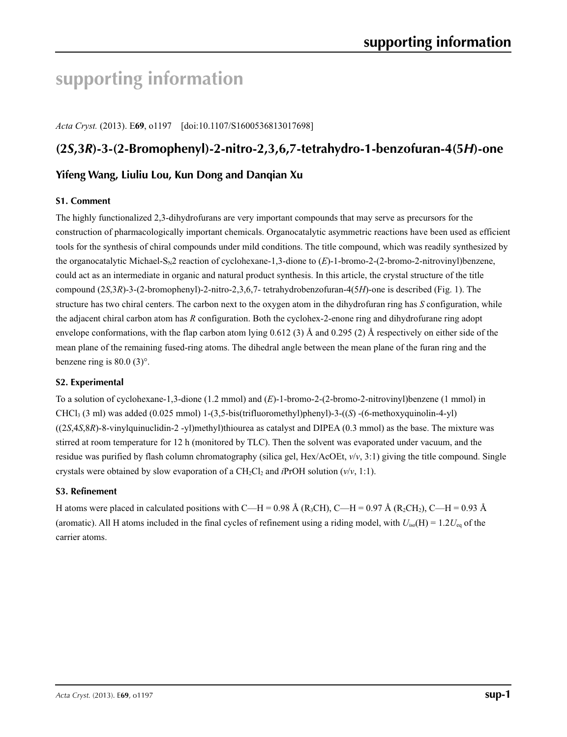# **supporting information**

*Acta Cryst.* (2013). E**69**, o1197 [doi:10.1107/S1600536813017698]

# **(2***S***,3***R***)-3-(2-Bromophenyl)-2-nitro-2,3,6,7-tetrahydro-1-benzofuran-4(5***H***)-one**

### **Yifeng Wang, Liuliu Lou, Kun Dong and Danqian Xu**

#### **S1. Comment**

The highly functionalized 2,3-dihydrofurans are very important compounds that may serve as precursors for the construction of pharmacologically important chemicals. Organocatalytic asymmetric reactions have been used as efficient tools for the synthesis of chiral compounds under mild conditions. The title compound, which was readily synthesized by the organocatalytic Michael-S<sub>N</sub>2 reaction of cyclohexane-1,3-dione to (*E*)-1-bromo-2-(2-bromo-2-nitrovinyl)benzene, could act as an intermediate in organic and natural product synthesis. In this article, the crystal structure of the title compound (2*S*,3*R*)-3-(2-bromophenyl)-2-nitro-2,3,6,7- tetrahydrobenzofuran-4(5*H*)-one is described (Fig. 1). The structure has two chiral centers. The carbon next to the oxygen atom in the dihydrofuran ring has *S* configuration, while the adjacent chiral carbon atom has *R* configuration. Both the cyclohex-2-enone ring and dihydrofurane ring adopt envelope conformations, with the flap carbon atom lying 0.612 (3) Å and 0.295 (2) Å respectively on either side of the mean plane of the remaining fused-ring atoms. The dihedral angle between the mean plane of the furan ring and the benzene ring is 80.0 (3)°.

#### **S2. Experimental**

To a solution of cyclohexane-1,3-dione (1.2 mmol) and (*E*)-1-bromo-2-(2-bromo-2-nitrovinyl)benzene (1 mmol) in CHCl3 (3 ml) was added (0.025 mmol) 1-(3,5-bis(trifluoromethyl)phenyl)-3-((*S*) -(6-methoxyquinolin-4-yl) ((2*S*,4*S*,8*R*)-8-vinylquinuclidin-2 -yl)methyl)thiourea as catalyst and DIPEA (0.3 mmol) as the base. The mixture was stirred at room temperature for 12 h (monitored by TLC). Then the solvent was evaporated under vacuum, and the residue was purified by flash column chromatography (silica gel, Hex/AcOEt, *v*/*v*, 3:1) giving the title compound. Single crystals were obtained by slow evaporation of a  $CH_2Cl_2$  and *i*PrOH solution ( $v/v$ , 1:1).

#### **S3. Refinement**

H atoms were placed in calculated positions with C—H = 0.98 Å (R<sub>3</sub>CH), C—H = 0.97 Å (R<sub>2</sub>CH<sub>2</sub>), C—H = 0.93 Å (aromatic). All H atoms included in the final cycles of refinement using a riding model, with  $U_{iso}(H) = 1.2U_{eq}$  of the carrier atoms.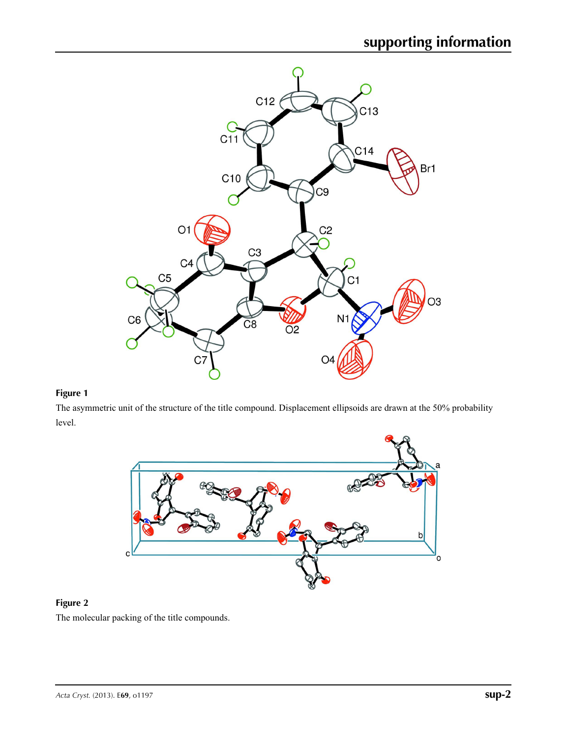

### **Figure 1**

The asymmetric unit of the structure of the title compound. Displacement ellipsoids are drawn at the 50% probability level.



## **Figure 2** The molecular packing of the title compounds.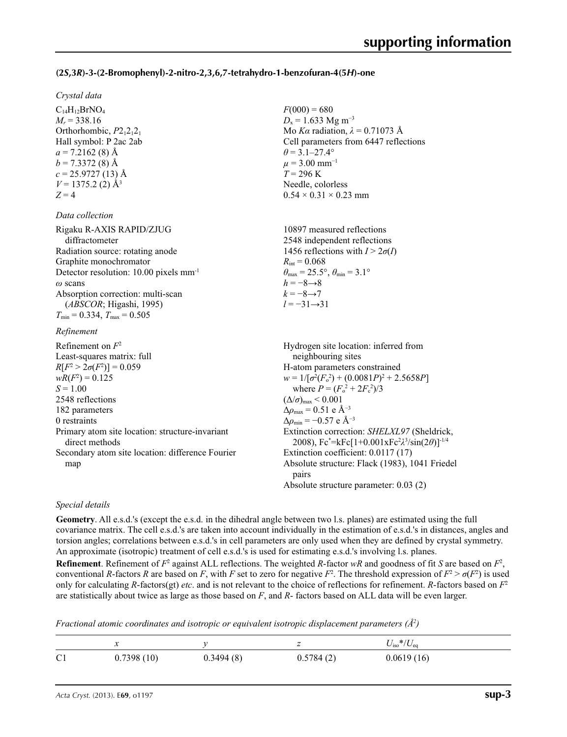#### **(2***S***,3***R***)-3-(2-Bromophenyl)-2-nitro-2,3,6,7-tetrahydro-1-benzofuran-4(5***H***)-one**

 $F(000) = 680$  $D_x = 1.633$  Mg m<sup>-3</sup>

 $\theta$  = 3.1–27.4°  $\mu$  = 3.00 mm<sup>-1</sup>  $T = 296$  K Needle, colorless  $0.54 \times 0.31 \times 0.23$  mm

Mo *Kα* radiation, *λ* = 0.71073 Å Cell parameters from 6447 reflections

#### *Crystal data*

 $C_{14}H_{12}BrNO<sub>4</sub>$  $M_r = 338.16$ Orthorhombic,  $P2_12_12_1$ Hall symbol: P 2ac 2ab  $a = 7.2162(8)$  Å  $b = 7.3372(8)$  Å  $c = 25.9727(13)$  Å  $V = 1375.2$  (2)  $\AA$ <sup>3</sup>  $Z = 4$ 

#### *Data collection*

| Rigaku R-AXIS RAPID/ZJUG                           | 10897 measured reflections                                              |
|----------------------------------------------------|-------------------------------------------------------------------------|
| diffractometer                                     | 2548 independent reflections                                            |
| Radiation source: rotating anode                   | 1456 reflections with $I > 2\sigma(I)$                                  |
| Graphite monochromator                             | $R_{\rm int} = 0.068$                                                   |
| Detector resolution: 10.00 pixels mm <sup>-1</sup> | $\theta_{\text{max}} = 25.5^{\circ}, \theta_{\text{min}} = 3.1^{\circ}$ |
| $\omega$ scans                                     | $h = -8 \rightarrow 8$                                                  |
| Absorption correction: multi-scan                  | $k = -8 \rightarrow 7$                                                  |
| (ABSCOR; Higashi, 1995)                            | $l = -31 \rightarrow 31$                                                |
| $T_{\text{min}} = 0.334, T_{\text{max}} = 0.505$   |                                                                         |

#### *Refinement*

Refinement on *F*<sup>2</sup> Least-squares matrix: full *R*[ $F^2 > 2\sigma(F^2)$ ] = 0.059  $wR(F^2) = 0.125$  $S = 1.00$ 2548 reflections 182 parameters 0 restraints Primary atom site location: structure-invariant direct methods Secondary atom site location: difference Fourier map Hydrogen site location: inferred from neighbouring sites H-atom parameters constrained  $w = 1/[\sigma^2 (F_o^2) + (0.0081P)^2 + 2.5658P]$ where  $P = (F_o^2 + 2F_c^2)/3$  $(\Delta/\sigma)_{\text{max}}$  < 0.001  $\Delta\rho_{\text{max}} = 0.51$  e Å<sup>-3</sup> Δ*ρ*min = −0.57 e Å−3 Extinction correction: *SHELXL97* (Sheldrick, 2008), Fc\* =kFc[1+0.001xFc2 *λ*3 /sin(2*θ*)]-1/4 Extinction coefficient: 0.0117 (17) Absolute structure: Flack (1983), 1041 Friedel pairs Absolute structure parameter: 0.03 (2)

#### *Special details*

**Geometry**. All e.s.d.'s (except the e.s.d. in the dihedral angle between two l.s. planes) are estimated using the full covariance matrix. The cell e.s.d.'s are taken into account individually in the estimation of e.s.d.'s in distances, angles and torsion angles; correlations between e.s.d.'s in cell parameters are only used when they are defined by crystal symmetry. An approximate (isotropic) treatment of cell e.s.d.'s is used for estimating e.s.d.'s involving l.s. planes. **Refinement**. Refinement of  $F^2$  against ALL reflections. The weighted *R*-factor  $wR$  and goodness of fit *S* are based on  $F^2$ , conventional *R*-factors *R* are based on *F*, with *F* set to zero for negative  $F^2$ . The threshold expression of  $F^2 > \sigma(F^2)$  is used only for calculating *R*-factors(gt) *etc*. and is not relevant to the choice of reflections for refinement. *R*-factors based on *F*<sup>2</sup> are statistically about twice as large as those based on *F*, and *R*- factors based on ALL data will be even larger.

*Fractional atomic coordinates and isotropic or equivalent isotropic displacement parameters (Å<sup>2</sup>)* 

|                |            |           |           | $\tilde{C}$ */ $U_{\rm eq}$<br>$U_{\rm ISO}$ |
|----------------|------------|-----------|-----------|----------------------------------------------|
| C <sub>1</sub> | 0.7398(10) | 0.3494(8) | 0.5784(2) | 0.0619(16)                                   |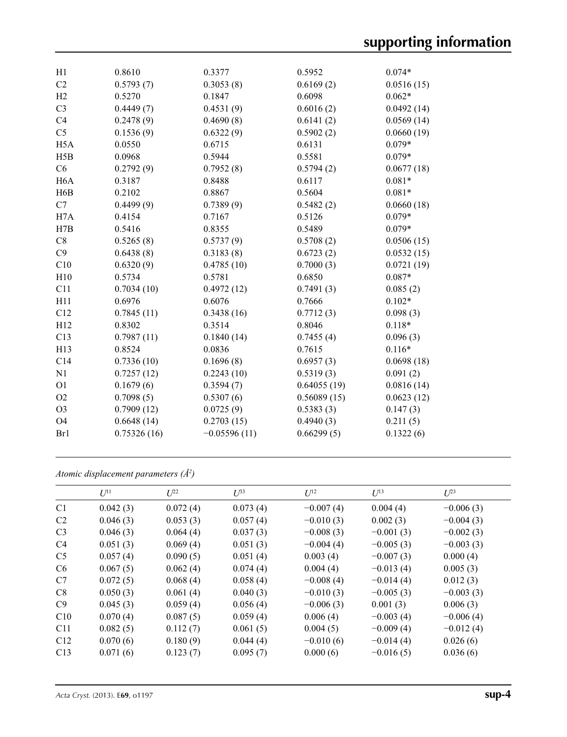| H1               | 0.8610      | 0.3377         | 0.5952      | $0.074*$   |
|------------------|-------------|----------------|-------------|------------|
| C2               | 0.5793(7)   | 0.3053(8)      | 0.6169(2)   | 0.0516(15) |
| H2               | 0.5270      | 0.1847         | 0.6098      | $0.062*$   |
| C <sub>3</sub>   | 0.4449(7)   | 0.4531(9)      | 0.6016(2)   | 0.0492(14) |
| C4               | 0.2478(9)   | 0.4690(8)      | 0.6141(2)   | 0.0569(14) |
| C <sub>5</sub>   | 0.1536(9)   | 0.6322(9)      | 0.5902(2)   | 0.0660(19) |
| H <sub>5</sub> A | 0.0550      | 0.6715         | 0.6131      | $0.079*$   |
| H5B              | 0.0968      | 0.5944         | 0.5581      | $0.079*$   |
| C6               | 0.2792(9)   | 0.7952(8)      | 0.5794(2)   | 0.0677(18) |
| H <sub>6</sub> A | 0.3187      | 0.8488         | 0.6117      | $0.081*$   |
| H6B              | 0.2102      | 0.8867         | 0.5604      | $0.081*$   |
| C7               | 0.4499(9)   | 0.7389(9)      | 0.5482(2)   | 0.0660(18) |
| H <sub>7</sub> A | 0.4154      | 0.7167         | 0.5126      | $0.079*$   |
| H7B              | 0.5416      | 0.8355         | 0.5489      | $0.079*$   |
| $\rm{C}8$        | 0.5265(8)   | 0.5737(9)      | 0.5708(2)   | 0.0506(15) |
| C9               | 0.6438(8)   | 0.3183(8)      | 0.6723(2)   | 0.0532(15) |
| C10              | 0.6320(9)   | 0.4785(10)     | 0.7000(3)   | 0.0721(19) |
| H10              | 0.5734      | 0.5781         | 0.6850      | $0.087*$   |
| C11              | 0.7034(10)  | 0.4972(12)     | 0.7491(3)   | 0.085(2)   |
| H11              | 0.6976      | 0.6076         | 0.7666      | $0.102*$   |
| C12              | 0.7845(11)  | 0.3438(16)     | 0.7712(3)   | 0.098(3)   |
| H12              | 0.8302      | 0.3514         | 0.8046      | $0.118*$   |
| C13              | 0.7987(11)  | 0.1840(14)     | 0.7455(4)   | 0.096(3)   |
| H13              | 0.8524      | 0.0836         | 0.7615      | $0.116*$   |
| C14              | 0.7336(10)  | 0.1696(8)      | 0.6957(3)   | 0.0698(18) |
| N1               | 0.7257(12)  | 0.2243(10)     | 0.5319(3)   | 0.091(2)   |
| O <sub>1</sub>   | 0.1679(6)   | 0.3594(7)      | 0.64055(19) | 0.0816(14) |
| O2               | 0.7098(5)   | 0.5307(6)      | 0.56089(15) | 0.0623(12) |
| O <sub>3</sub>   | 0.7909(12)  | 0.0725(9)      | 0.5383(3)   | 0.147(3)   |
| O <sub>4</sub>   | 0.6648(14)  | 0.2703(15)     | 0.4940(3)   | 0.211(5)   |
| Br1              | 0.75326(16) | $-0.05596(11)$ | 0.66299(5)  | 0.1322(6)  |
|                  |             |                |             |            |

*Atomic displacement parameters (Å2 )*

|                | $U^{11}$ | $L^{22}$ | $\mathcal{L}^{\beta 3}$ | $U^{12}$    | $U^{13}$    | $U^{23}$    |
|----------------|----------|----------|-------------------------|-------------|-------------|-------------|
| C <sub>1</sub> | 0.042(3) | 0.072(4) | 0.073(4)                | $-0.007(4)$ | 0.004(4)    | $-0.006(3)$ |
| C <sub>2</sub> | 0.046(3) | 0.053(3) | 0.057(4)                | $-0.010(3)$ | 0.002(3)    | $-0.004(3)$ |
| C <sub>3</sub> | 0.046(3) | 0.064(4) | 0.037(3)                | $-0.008(3)$ | $-0.001(3)$ | $-0.002(3)$ |
| C4             | 0.051(3) | 0.069(4) | 0.051(3)                | $-0.004(4)$ | $-0.005(3)$ | $-0.003(3)$ |
| C <sub>5</sub> | 0.057(4) | 0.090(5) | 0.051(4)                | 0.003(4)    | $-0.007(3)$ | 0.000(4)    |
| C <sub>6</sub> | 0.067(5) | 0.062(4) | 0.074(4)                | 0.004(4)    | $-0.013(4)$ | 0.005(3)    |
| C7             | 0.072(5) | 0.068(4) | 0.058(4)                | $-0.008(4)$ | $-0.014(4)$ | 0.012(3)    |
| C8             | 0.050(3) | 0.061(4) | 0.040(3)                | $-0.010(3)$ | $-0.005(3)$ | $-0.003(3)$ |
| C9             | 0.045(3) | 0.059(4) | 0.056(4)                | $-0.006(3)$ | 0.001(3)    | 0.006(3)    |
| C10            | 0.070(4) | 0.087(5) | 0.059(4)                | 0.006(4)    | $-0.003(4)$ | $-0.006(4)$ |
| C11            | 0.082(5) | 0.112(7) | 0.061(5)                | 0.004(5)    | $-0.009(4)$ | $-0.012(4)$ |
| C12            | 0.070(6) | 0.180(9) | 0.044(4)                | $-0.010(6)$ | $-0.014(4)$ | 0.026(6)    |
| C13            | 0.071(6) | 0.123(7) | 0.095(7)                | 0.000(6)    | $-0.016(5)$ | 0.036(6)    |
|                |          |          |                         |             |             |             |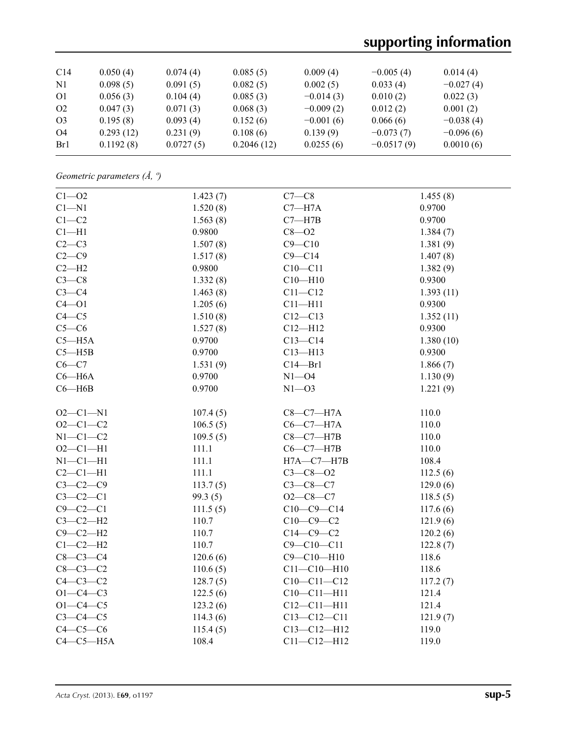# **supporting information**

| C <sub>14</sub> | 0.050(4)  | 0.074(4)  | 0.085(5)   | 0.009(4)    | $-0.005(4)$  | 0.014(4)    |
|-----------------|-----------|-----------|------------|-------------|--------------|-------------|
| $\mathbf{N}$    | 0.098(5)  | 0.091(5)  | 0.082(5)   | 0.002(5)    | 0.033(4)     | $-0.027(4)$ |
| <sup>O1</sup>   | 0.056(3)  | 0.104(4)  | 0.085(3)   | $-0.014(3)$ | 0.010(2)     | 0.022(3)    |
| O <sub>2</sub>  | 0.047(3)  | 0.071(3)  | 0.068(3)   | $-0.009(2)$ | 0.012(2)     | 0.001(2)    |
| O <sub>3</sub>  | 0.195(8)  | 0.093(4)  | 0.152(6)   | $-0.001(6)$ | 0.066(6)     | $-0.038(4)$ |
| O4              | 0.293(12) | 0.231(9)  | 0.108(6)   | 0.139(9)    | $-0.073(7)$  | $-0.096(6)$ |
| Br1             | 0.1192(8) | 0.0727(5) | 0.2046(12) | 0.0255(6)   | $-0.0517(9)$ | 0.0010(6)   |

*Geometric parameters (Å, º)*

| $C1 - 02$      | 1.423(7) | $C7-C8$           | 1.455(8)  |
|----------------|----------|-------------------|-----------|
| $C1 - N1$      | 1.520(8) | $C7 - H7A$        | 0.9700    |
| $C1-C2$        | 1.563(8) | $C7 - H7B$        | 0.9700    |
| $Cl-H1$        | 0.9800   | $C8 - O2$         | 1.384(7)  |
| $C2-C3$        | 1.507(8) | $C9 - C10$        | 1.381(9)  |
| $C2-C9$        | 1.517(8) | $C9 - C14$        | 1.407(8)  |
| $C2-H2$        | 0.9800   | $C10 - C11$       | 1.382(9)  |
| $C3-C8$        | 1.332(8) | $C10 - H10$       | 0.9300    |
| $C3-C4$        | 1.463(8) | $C11 - C12$       | 1.393(11) |
| $C4 - O1$      | 1.205(6) | $C11 - H11$       | 0.9300    |
| $C4 - C5$      | 1.510(8) | $C12 - C13$       | 1.352(11) |
| $C5-C6$        | 1.527(8) | $C12 - H12$       | 0.9300    |
| $C5 - H5A$     | 0.9700   | $C13-C14$         | 1.380(10) |
| $C5 - H5B$     | 0.9700   | $C13 - H13$       | 0.9300    |
| $C6-C7$        | 1.531(9) | $C14 - Br1$       | 1.866(7)  |
| $C6 - H6A$     | 0.9700   | $N1 - 04$         | 1.130(9)  |
| $C6 - H6B$     | 0.9700   | $N1 - 03$         | 1.221(9)  |
|                |          |                   |           |
| $O2 - Cl - N1$ | 107.4(5) | $C8-C7-H7A$       | 110.0     |
| $O2 - C1 - C2$ | 106.5(5) | $C6-C7-H7A$       | 110.0     |
| $N1-C1-C2$     | 109.5(5) | $C8-C7-H7B$       | 110.0     |
| $O2 - C1 - H1$ | 111.1    | $C6-C7-H7B$       | 110.0     |
| $N1 - C1 - H1$ | 111.1    | $H7A - C7 - H7B$  | 108.4     |
| $C2-C1-H1$     | 111.1    | $C3 - C8 - O2$    | 112.5(6)  |
| $C3-C2-C9$     | 113.7(5) | $C3 - C8 - C7$    | 129.0(6)  |
| $C3-C2-C1$     | 99.3(5)  | $O2-C8-C7$        | 118.5(5)  |
| $C9-C2-C1$     | 111.5(5) | $C10-C9-C14$      | 117.6(6)  |
| $C3-C2-H2$     | 110.7    | $C10-C9-C2$       | 121.9(6)  |
| $C9-C2-H2$     | 110.7    | $C14-C9-C2$       | 120.2(6)  |
| $C1-C2-H2$     | 110.7    | $C9 - C10 - C11$  | 122.8(7)  |
| $C8-C3-C4$     | 120.6(6) | $C9 - C10 - H10$  | 118.6     |
| $C8-C3-C2$     | 110.6(5) | $C11 - C10 - H10$ | 118.6     |
| $C4-C3-C2$     | 128.7(5) | $C10-C11-C12$     | 117.2(7)  |
| $O1 - C4 - C3$ | 122.5(6) | $C10 - C11 - H11$ | 121.4     |
| $O1 - C4 - C5$ | 123.2(6) | $C12 - C11 - H11$ | 121.4     |
| $C3-C4-C5$     | 114.3(6) | $C13 - C12 - C11$ | 121.9(7)  |
| $C4-C5-C6$     | 115.4(5) | $C13 - C12 - H12$ | 119.0     |
| $C4-C5-H5A$    | 108.4    | $C11 - C12 - H12$ | 119.0     |